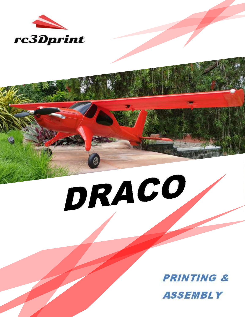

# DRACO

**PRINTING & ASSEMBLY**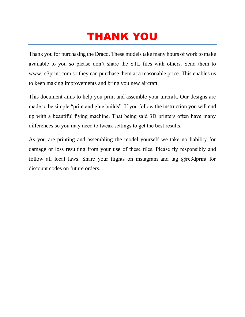# THANK YOU

Thank you for purchasing the Draco. These models take many hours of work to make available to you so please don't share the STL files with others. Send them to www.rc3print.com so they can purchase them at a reasonable price. This enables us to keep making improvements and bring you new aircraft.

This document aims to help you print and assemble your aircraft. Our designs are made to be simple "print and glue builds". If you follow the instruction you will end up with a beautiful flying machine. That being said 3D printers often have many differences so you may need to tweak settings to get the best results.

As you are printing and assembling the model yourself we take no liability for damage or loss resulting from your use of these files. Please fly responsibly and follow all local laws. Share your flights on instagram and tag  $@rc3$  dprint for discount codes on future orders.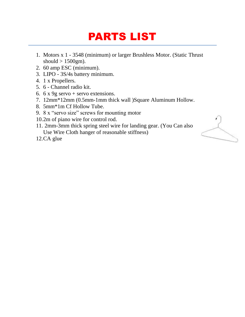# PARTS LIST

- 1. Motors x 1 3548 (minimum) or larger Brushless Motor. (Static Thrust should  $> 1500$ gm).
- 2. 60 amp ESC (minimum).
- 3. LIPO 3S/4s battery minimum.
- 4. 1 x Propellers.
- 5. 6 Channel radio kit.
- 6.  $6 \times 9g$  servo + servo extensions.
- 7. 12mm\*12mm (0.5mm-1mm thick wall )Square Aluminum Hollow.
- 8. 5mm\*1m Cf Hollow Tube.
- 9. 8 x "servo size" screws for mounting motor
- 10.2m of piano wire for control rod.
- 11. 2mm-3mm thick spring steel wire for landing gear. (You Can also Use Wire Cloth hanger of reasonable stiffness)
- 12.CA glue

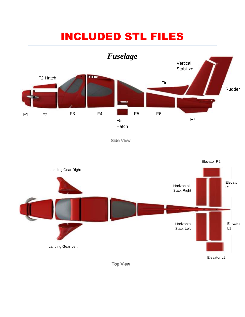### INCLUDED STL FILES



**Side View** 

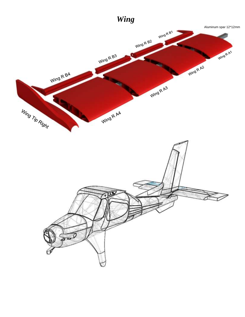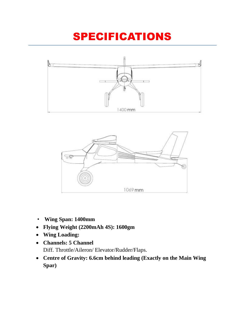# SPECIFICATIONS





- **Wing Span: 1400mm**
- **Flying Weight (2200mAh 4S): 1600gm**
- **Wing Loading:**
- **Channels: 5 Channel**  Diff. Throttle/Aileron/ Elevator/Rudder/Flaps.
- **Centre of Gravity: 6.6cm behind leading (Exactly on the Main Wing Spar)**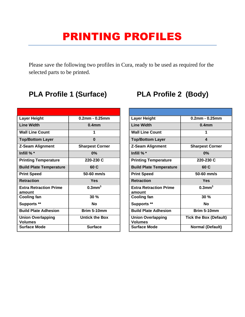### PRINTING PROFILES

Please save the following two profiles in Cura, ready to be used as required for the selected parts to be printed.

| <b>Layer Height</b>                        | $0.2$ mm - $0.25$ mm   |
|--------------------------------------------|------------------------|
| Line Width                                 | 0.4mm                  |
| <b>Wall Line Count</b>                     | 1                      |
| <b>Top/Bottom Layer</b>                    | O                      |
| <b>Z-Seam Alignment</b>                    | <b>Sharpest Corner</b> |
| Infill %*                                  | $0\%$                  |
| <b>Printing Temperature</b>                | 220-230 C              |
| <b>Build Plate Temperature</b>             | 60 C                   |
| <b>Print Speed</b>                         | $50-60$ mm/s           |
| <b>Retraction</b>                          | Yes                    |
| <b>Extra Retraction Prime</b><br>amount    | $0.3$ mm $3$           |
| <b>Cooling fan</b>                         | 30%                    |
| <b>Supports **</b>                         | Nο                     |
| <b>Build Plate Adhesion</b>                | Brim 5-10mm            |
| <b>Union Overlapping</b><br><b>Volumes</b> | <b>Untick the Box</b>  |
| <b>Surface Mode</b>                        | <b>Surface</b>         |

### **PLA Profile 1 (Surface) PLA Profile 2 (Body)**

| <b>Layer Height</b>                        | $0.2$ mm - $0.25$ mm          |
|--------------------------------------------|-------------------------------|
| <b>Line Width</b>                          | 0.4mm                         |
| <b>Wall Line Count</b>                     | 1                             |
| <b>Top/Bottom Layer</b>                    | 4                             |
| Z-Seam Alignment                           | <b>Sharpest Corner</b>        |
| Infill $%$ $*$                             | $0\%$                         |
| <b>Printing Temperature</b>                | 220-230 C                     |
| <b>Build Plate Temperature</b>             | 60 C                          |
| <b>Print Speed</b>                         | $50-60$ mm/s                  |
| <b>Retraction</b>                          | Yes                           |
| <b>Extra Retraction Prime</b><br>amount    | $0.3$ mm $^3$                 |
| <b>Cooling fan</b>                         | 30%                           |
| Supports **                                | Nο                            |
| <b>Build Plate Adhesion</b>                | Brim 5-10mm                   |
| <b>Union Overlapping</b><br><b>Volumes</b> | <b>Tick the Box (Default)</b> |
| <b>Surface Mode</b>                        | <b>Normal (Default)</b>       |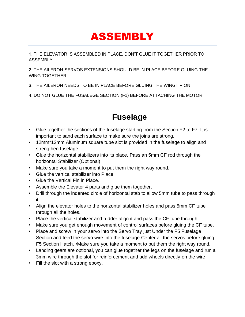### ASSEMBLY

1. THE ELEVATOR IS ASSEMBLED IN PLACE, DON'T GLUE IT TOGETHER PRIOR TO ASSEMBLY.

2. THE AILERON-SERVOS EXTENSIONS SHOULD BE IN PLACE BEFORE GLUING THE WING TOGETHER.

3. THE AILERON NEEDS TO BE IN PLACE BEFORE GLUING THE WINGTIP ON.

4. DO NOT GLUE THE FUSALEGE SECTION (F1) BEFORE ATTACHING THE MOTOR

### **Fuselage**

- Glue together the sections of the fuselage starting from the Section F2 to F7. It is important to sand each surface to make sure the joins are strong.
- 12mm\*12mm Aluminum square tube slot is provided in the fuselage to align and strengthen fuselage.
- Glue the horizontal stabilizers into its place. Pass an 5mm CF rod through the horizontal Stabilizer (Optional)
- Make sure you take a moment to put them the right way round.
- Glue the vertical stabilizer into Place.
- Glue the Vertical Fin in Place.
- Assemble the Elevator 4 parts and glue them together.
- Drill through the indented circle of horizontal stab to allow 5mm tube to pass through it
- Align the elevator holes to the horizontal stabilizer holes and pass 5mm CF tube through all the holes.
- Place the vertical stabilizer and rudder align it and pass the CF tube through.
- Make sure you get enough movement of control surfaces before gluing the CF tube.
- Place and screw in your servo into the Servo Tray just Under the F5 Fuselage Section and feed the servo wire into the fuselage Center all the servos before gluing F5 Section Hatch. •Make sure you take a moment to put them the right way round.
- Landing gears are optional, you can glue together the legs on the fuselage and run a 3mm wire through the slot for reinforcement and add wheels directly on the wire
- Fill the slot with a strong epoxy.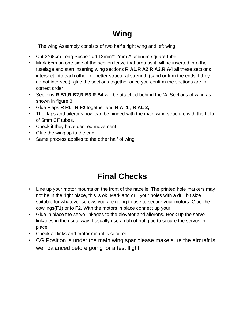### **Wing**

The wing Assembly consists of two half's right wing and left wing.

- Cut 2\*68cm Long Section od 12mm\*12mm Aluminum square tube.
- Mark 6cm on one side of the section leave that area as it will be inserted into the fuselage and start inserting wing sections **R A1**,**R A2**,**R A3**,**R A4** all these sections intersect into each other for better structural strength (sand or trim the ends if they do not intersect) glue the sections together once you confirm the sections are in correct order
- Sections **R B1**,**R B2**,**R B3**,**R B4** will be attached behind the 'A' Sections of wing as shown in figure 3.
- Glue Flaps **R F1** , **R F2** together and **R Al 1** , **R AL 2,**
- The flaps and ailerons now can be hinged with the main wing structure with the help of 5mm CF tubes.
- Check if they have desired movement.
- Glue the wing tip to the end.
- Same process applies to the other half of wing.

### **Final Checks**

- Line up your motor mounts on the front of the nacelle. The printed hole markers may not be in the right place, this is ok. Mark and drill your holes with a drill bit size suitable for whatever screws you are going to use to secure your motors. Glue the cowlings(F1) onto F2. With the motors in place connect up your
- Glue in place the servo linkages to the elevator and ailerons. Hook up the servo linkages in the usual way. I usually use a dab of hot glue to secure the servos in place.
- Check all links and motor mount is secured
- CG Position is under the main wing spar please make sure the aircraft is well balanced before going for a test flight.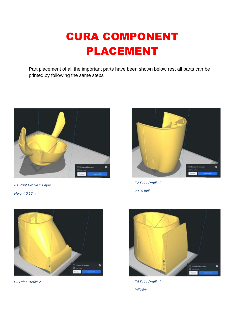# CURA COMPONENT PLACEMENT

Part placement of all the important parts have been shown below rest all parts can be printed by following the same steps



*F1 Print Profile 2 Layer Height:0.12mm*



*F2 Print Profile 2 20 % Infill*



*F3 Print Profile 2*



*F4 Print Profile 2 Infill:5%*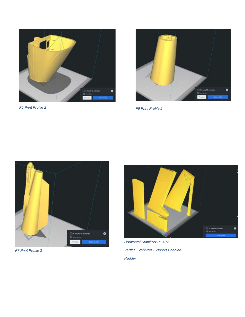





*F7 Print Profile 2*



*Horizontal Stabilizer R1&R2 Vertical Stabilizer -Support Enabled Rudder*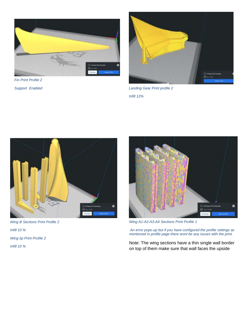

*Fin Print Profile 2*



*Support Enabled Landing Gear Print profile 2 Infill 12%*



*Wing B Sections Print Profile 2 Infill 10 % Wing tip Print Profile 2 Infill 10 %*



*Wing A1-A2-A3-A4 Sections Print Profile 1*

*An error pops-up but if you have configured the profile settings as mentioned in profile page there wont be any issues with the print.*

Note: The wing sections have a thin single wall border on top of them make sure that wall faces the upside